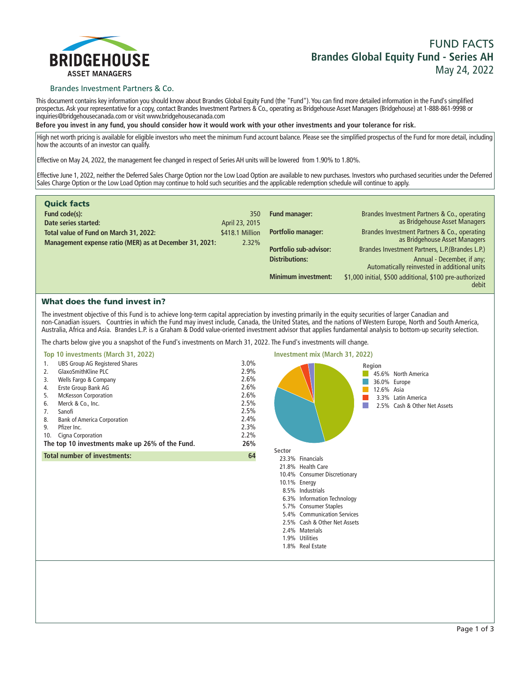

# **FUND FACTS Brandes Global Equity Fund - Series AH May 24, 2022**

### Brandes Investment Partners & Co.

**This document contains key information you should know about Brandes Global Equity Fund (the "Fund"). You can find more detailed information in the Fund's simplified prospectus. Ask your representative for a copy, contact Brandes Investment Partners & Co., operating as Bridgehouse Asset Managers (Bridgehouse) at 1-888-861-9998 or inquiries@bridgehousecanada.com or visit www.bridgehousecanada.com**

**Before you invest in any fund, you should consider how it would work with your other investments and your tolerance for risk.**

**High net worth pricing is available for eligible investors who meet the minimum Fund account balance. Please see the simplified prospectus of the Fund for more detail, including how the accounts of an investor can qualify.**

**Effective on May 24, 2022, the management fee changed in respect of Series AH units will be lowered from 1.90% to 1.80%.**

**Effective June 1, 2022, neither the Deferred Sales Charge Option nor the Low Load Option are available to new purchases. Investors who purchased securities under the Deferred Sales Charge Option or the Low Load Option may continue to hold such securities and the applicable redemption schedule will continue to apply.**

| <b>Quick facts</b>                                      |                 |                               |                                                                            |
|---------------------------------------------------------|-----------------|-------------------------------|----------------------------------------------------------------------------|
| Fund code(s):                                           | 350             | <b>Fund manager:</b>          | Brandes Investment Partners & Co., operating                               |
| Date series started:                                    | April 23, 2015  |                               | as Bridgehouse Asset Managers                                              |
| Total value of Fund on March 31, 2022:                  | \$418.1 Million | <b>Portfolio manager:</b>     | Brandes Investment Partners & Co., operating                               |
| Management expense ratio (MER) as at December 31, 2021: | 2.32%           |                               | as Bridgehouse Asset Managers                                              |
|                                                         |                 | <b>Portfolio sub-advisor:</b> | Brandes Investment Partners, L.P. (Brandes L.P.)                           |
|                                                         |                 | <b>Distributions:</b>         | Annual - December, if any;<br>Automatically reinvested in additional units |
|                                                         |                 | <b>Minimum investment:</b>    | \$1,000 initial, \$500 additional, \$100 pre-authorized                    |
|                                                         |                 |                               | debit                                                                      |

# What does the fund invest in?

**The investment objective of this Fund is to achieve long-term capital appreciation by investing primarily in the equity securities of larger Canadian and non-Canadian issuers. Countries in which the Fund may invest include, Canada, the United States, and the nations of Western Europe, North and South America, Australia, Africa and Asia. Brandes L.P. is a Graham & Dodd value-oriented investment advisor that applies fundamental analysis to bottom-up security selection.**

**The charts below give you a snapshot of the Fund's investments on March 31, 2022. The Fund's investments will change.**



**2.4% Materials 1.9% Utilities 1.8% Real Estate**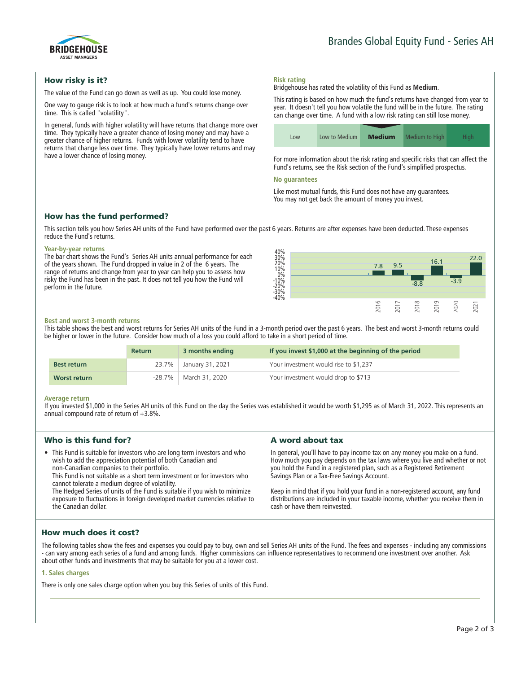

## How risky is it?

**The value of the Fund can go down as well as up. You could lose money.**

**One way to gauge risk is to look at how much a fund's returns change over time. This is called "volatility".**

**In general, funds with higher volatility will have returns that change more over time. They typically have a greater chance of losing money and may have a greater chance of higher returns. Funds with lower volatility tend to have returns that change less over time. They typically have lower returns and may have a lower chance of losing money.**

#### **Risk rating Bridgehouse has rated the volatility of this Fund as Medium.**

**This rating is based on how much the fund's returns have changed from year to year. It doesn't tell you how volatile the fund will be in the future. The rating can change over time. A fund with a low risk rating can still lose money.**

| LOW | Low to Medium | <b>Medium</b> | Medium to High | Hiah. |
|-----|---------------|---------------|----------------|-------|

**For more information about the risk rating and specific risks that can affect the Fund's returns, see the Risk section of the Fund's simplified prospectus.**

#### **No guarantees**

**Like most mutual funds, this Fund does not have any guarantees. You may not get back the amount of money you invest.**

## How has the fund performed?

**This section tells you how Series AH units of the Fund have performed over the past 6 years. Returns are after expenses have been deducted. These expenses reduce the Fund's returns.**

#### **Year-by-year returns**

**The bar chart shows the Fund's Series AH units annual performance for each of the years shown. The Fund dropped in value in 2 of the 6 years. The range of returns and change from year to year can help you to assess how risky the Fund has been in the past. It does not tell you how the Fund will perform in the future.**



#### **Best and worst 3-month returns**

**This table shows the best and worst returns for Series AH units of the Fund in a 3-month period over the past 6 years. The best and worst 3-month returns could be higher or lower in the future. Consider how much of a loss you could afford to take in a short period of time.**

|                    | <b>Return</b> | 3 months ending          | If you invest \$1,000 at the beginning of the period |
|--------------------|---------------|--------------------------|------------------------------------------------------|
| <b>Best return</b> |               | 23.7%   January 31, 2021 | Your investment would rise to \$1,237                |
| Worst return       | -28.7%        | March 31, 2020           | Your investment would drop to \$713                  |

#### **Average return**

**If you invested \$1,000 in the Series AH units of this Fund on the day the Series was established it would be worth \$1,295 as of March 31, 2022. This represents an annual compound rate of return of +3.8%.**

| Who is this fund for?                                                                                                                                                                                                                                                                                                                                                                                                                                                                                      | A word about tax                                                                                                                                                                                                                                                                                                                                                                                                                                                                       |
|------------------------------------------------------------------------------------------------------------------------------------------------------------------------------------------------------------------------------------------------------------------------------------------------------------------------------------------------------------------------------------------------------------------------------------------------------------------------------------------------------------|----------------------------------------------------------------------------------------------------------------------------------------------------------------------------------------------------------------------------------------------------------------------------------------------------------------------------------------------------------------------------------------------------------------------------------------------------------------------------------------|
| • This Fund is suitable for investors who are long term investors and who<br>wish to add the appreciation potential of both Canadian and<br>non-Canadian companies to their portfolio.<br>This Fund is not suitable as a short term investment or for investors who<br>cannot tolerate a medium degree of volatility.<br>The Hedged Series of units of the Fund is suitable if you wish to minimize<br>exposure to fluctuations in foreign developed market currencies relative to<br>the Canadian dollar. | In general, you'll have to pay income tax on any money you make on a fund.<br>How much you pay depends on the tax laws where you live and whether or not<br>you hold the Fund in a registered plan, such as a Registered Retirement<br>Savings Plan or a Tax-Free Savings Account.<br>Keep in mind that if you hold your fund in a non-registered account, any fund<br>distributions are included in your taxable income, whether you receive them in<br>cash or have them reinvested. |
|                                                                                                                                                                                                                                                                                                                                                                                                                                                                                                            |                                                                                                                                                                                                                                                                                                                                                                                                                                                                                        |

# How much does it cost?

**The following tables show the fees and expenses you could pay to buy, own and sell Series AH units of the Fund. The fees and expenses - including any commissions - can vary among each series of a fund and among funds. Higher commissions can influence representatives to recommend one investment over another. Ask about other funds and investments that may be suitable for you at a lower cost.**

### **1. Sales charges**

**There is only one sales charge option when you buy this Series of units of this Fund.**